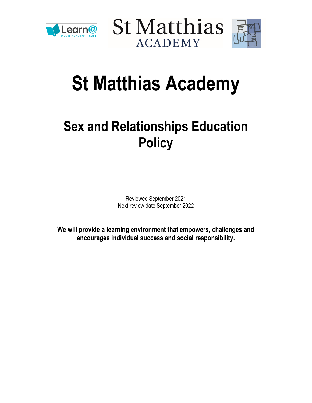





# **St Matthias Academy**

# **Sex and Relationships Education Policy**

Reviewed September 2021 Next review date September 2022

**We will provide a learning environment that empowers, challenges and encourages individual success and social responsibility.**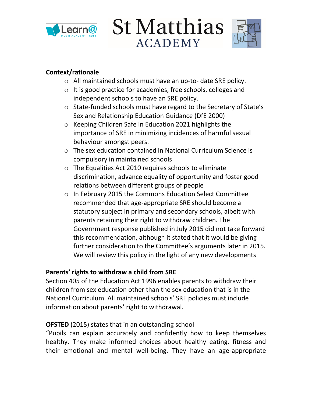

**St Matthias ACADEMY** 



#### **Context/rationale**

- o All maintained schools must have an up-to- date SRE policy.
- o It is good practice for academies, free schools, colleges and independent schools to have an SRE policy.
- o State-funded schools must have regard to the Secretary of State's Sex and Relationship Education Guidance (DfE 2000)
- o Keeping Children Safe in Education 2021 highlights the importance of SRE in minimizing incidences of harmful sexual behaviour amongst peers.
- o The sex education contained in National Curriculum Science is compulsory in maintained schools
- o The Equalities Act 2010 requires schools to eliminate discrimination, advance equality of opportunity and foster good relations between different groups of people
- o In February 2015 the Commons Education Select Committee recommended that age-appropriate SRE should become a statutory subject in primary and secondary schools, albeit with parents retaining their right to withdraw children. The Government response published in July 2015 did not take forward this recommendation, although it stated that it would be giving further consideration to the Committee's arguments later in 2015. We will review this policy in the light of any new developments

#### **Parents' rights to withdraw a child from SRE**

Section 405 of the Education Act 1996 enables parents to withdraw their children from sex education other than the sex education that is in the National Curriculum. All maintained schools' SRE policies must include information about parents' right to withdrawal.

#### **OFSTED** (2015) states that in an outstanding school

"Pupils can explain accurately and confidently how to keep themselves healthy. They make informed choices about healthy eating, fitness and their emotional and mental well-being. They have an age-appropriate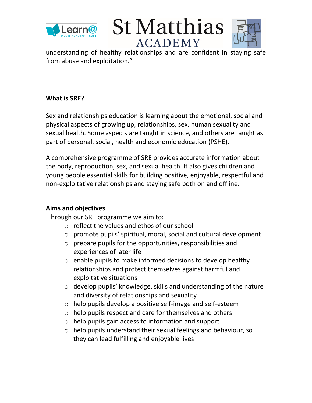





understanding of healthy relationships and are confident in staying safe from abuse and exploitation."

#### **What is SRE?**

Sex and relationships education is learning about the emotional, social and physical aspects of growing up, relationships, sex, human sexuality and sexual health. Some aspects are taught in science, and others are taught as part of personal, social, health and economic education (PSHE).

A comprehensive programme of SRE provides accurate information about the body, reproduction, sex, and sexual health. It also gives children and young people essential skills for building positive, enjoyable, respectful and non-exploitative relationships and staying safe both on and offline.

#### **Aims and objectives**

Through our SRE programme we aim to:

- $\circ$  reflect the values and ethos of our school
- o promote pupils' spiritual, moral, social and cultural development
- o prepare pupils for the opportunities, responsibilities and experiences of later life
- o enable pupils to make informed decisions to develop healthy relationships and protect themselves against harmful and exploitative situations
- o develop pupils' knowledge, skills and understanding of the nature and diversity of relationships and sexuality
- o help pupils develop a positive self-image and self-esteem
- o help pupils respect and care for themselves and others
- o help pupils gain access to information and support
- o help pupils understand their sexual feelings and behaviour, so they can lead fulfilling and enjoyable lives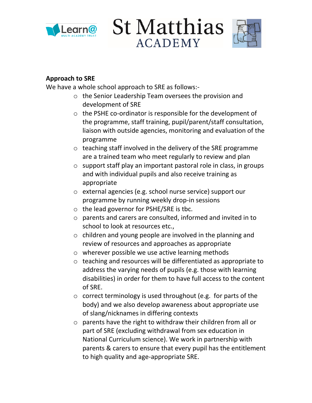

**St Matthias ACADEMY** 



#### **Approach to SRE**

We have a whole school approach to SRE as follows:-

- o the Senior Leadership Team oversees the provision and development of SRE
- o the PSHE co-ordinator is responsible for the development of the programme, staff training, pupil/parent/staff consultation, liaison with outside agencies, monitoring and evaluation of the programme
- o teaching staff involved in the delivery of the SRE programme are a trained team who meet regularly to review and plan
- o support staff play an important pastoral role in class, in groups and with individual pupils and also receive training as appropriate
- o external agencies (e.g. school nurse service) support our programme by running weekly drop-in sessions
- o the lead governor for PSHE/SRE is tbc.
- o parents and carers are consulted, informed and invited in to school to look at resources etc.,
- o children and young people are involved in the planning and review of resources and approaches as appropriate
- o wherever possible we use active learning methods
- o teaching and resources will be differentiated as appropriate to address the varying needs of pupils (e.g. those with learning disabilities) in order for them to have full access to the content of SRE.
- o correct terminology is used throughout (e.g. for parts of the body) and we also develop awareness about appropriate use of slang/nicknames in differing contexts
- o parents have the right to withdraw their children from all or part of SRE (excluding withdrawal from sex education in National Curriculum science). We work in partnership with parents & carers to ensure that every pupil has the entitlement to high quality and age-appropriate SRE.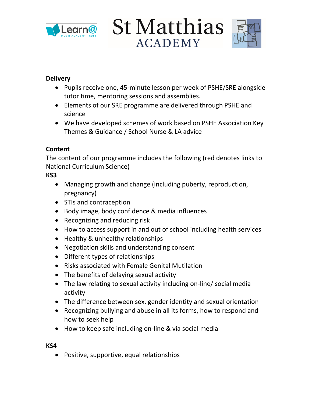

**St Matthias ACADEMY** 



#### **Delivery**

- Pupils receive one, 45-minute lesson per week of PSHE/SRE alongside tutor time, mentoring sessions and assemblies.
- Elements of our SRE programme are delivered through PSHE and science
- We have developed schemes of work based on PSHE Association Key Themes & Guidance / School Nurse & LA advice

#### **Content**

The content of our programme includes the following (red denotes links to National Curriculum Science)

#### **KS3**

- Managing growth and change (including puberty, reproduction, pregnancy)
- STIs and contraception
- Body image, body confidence & media influences
- Recognizing and reducing risk
- How to access support in and out of school including health services
- Healthy & unhealthy relationships
- Negotiation skills and understanding consent
- Different types of relationships
- Risks associated with Female Genital Mutilation
- The benefits of delaying sexual activity
- The law relating to sexual activity including on-line/ social media activity
- The difference between sex, gender identity and sexual orientation
- Recognizing bullying and abuse in all its forms, how to respond and how to seek help
- How to keep safe including on-line & via social media

#### **KS4**

• Positive, supportive, equal relationships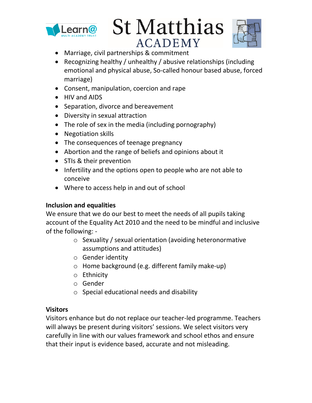

**St Matthias ACADEMY** 



- Marriage, civil partnerships & commitment
- Recognizing healthy / unhealthy / abusive relationships (including emotional and physical abuse, So-called honour based abuse, forced marriage)
- Consent, manipulation, coercion and rape
- HIV and AIDS
- Separation, divorce and bereavement
- Diversity in sexual attraction
- The role of sex in the media (including pornography)
- Negotiation skills
- The consequences of teenage pregnancy
- Abortion and the range of beliefs and opinions about it
- STIs & their prevention
- Infertility and the options open to people who are not able to conceive
- Where to access help in and out of school

#### **Inclusion and equalities**

We ensure that we do our best to meet the needs of all pupils taking account of the Equality Act 2010 and the need to be mindful and inclusive of the following: -

- o Sexuality / sexual orientation (avoiding heteronormative assumptions and attitudes)
- o Gender identity
- o Home background (e.g. different family make-up)
- o Ethnicity
- o Gender
- o Special educational needs and disability

#### **Visitors**

Visitors enhance but do not replace our teacher-led programme. Teachers will always be present during visitors' sessions. We select visitors very carefully in line with our values framework and school ethos and ensure that their input is evidence based, accurate and not misleading.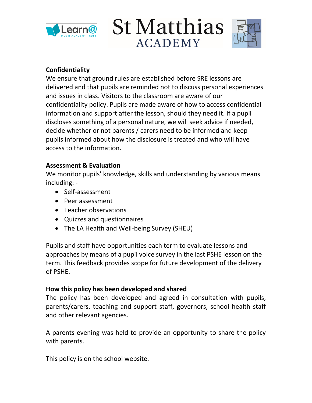

**St Matthias ACADEMY** 



#### **Confidentiality**

We ensure that ground rules are established before SRE lessons are delivered and that pupils are reminded not to discuss personal experiences and issues in class. Visitors to the classroom are aware of our confidentiality policy. Pupils are made aware of how to access confidential information and support after the lesson, should they need it. If a pupil discloses something of a personal nature, we will seek advice if needed, decide whether or not parents / carers need to be informed and keep pupils informed about how the disclosure is treated and who will have access to the information.

#### **Assessment & Evaluation**

We monitor pupils' knowledge, skills and understanding by various means including: -

- Self-assessment
- Peer assessment
- Teacher observations
- Quizzes and questionnaires
- The LA Health and Well-being Survey (SHEU)

Pupils and staff have opportunities each term to evaluate lessons and approaches by means of a pupil voice survey in the last PSHE lesson on the term. This feedback provides scope for future development of the delivery of PSHE.

#### **How this policy has been developed and shared**

The policy has been developed and agreed in consultation with pupils, parents/carers, teaching and support staff, governors, school health staff and other relevant agencies.

A parents evening was held to provide an opportunity to share the policy with parents.

This policy is on the school website.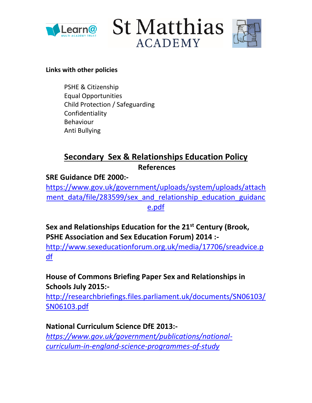





#### **Links with other policies**

PSHE & Citizenship Equal Opportunities Child Protection / Safeguarding Confidentiality Behaviour Anti Bullying

# **Secondary Sex & Relationships Education Policy References**

### **SRE Guidance DfE 2000:-**

[https://www.gov.uk/government/uploads/system/uploads/attach](https://www.gov.uk/government/uploads/system/uploads/attachment_data/file/283599/sex_and_relationship_education_guidance.pdf) ment data/file/283599/sex and relationship education guidanc [e.pdf](https://www.gov.uk/government/uploads/system/uploads/attachment_data/file/283599/sex_and_relationship_education_guidance.pdf)

**Sex and Relationships Education for the 21st Century (Brook, PSHE Association and Sex Education Forum) 2014 :-**

[http://www.sexeducationforum.org.uk/media/17706/sreadvice.p](http://www.sexeducationforum.org.uk/media/17706/sreadvice.pdf) [df](http://www.sexeducationforum.org.uk/media/17706/sreadvice.pdf)

# **House of Commons Briefing Paper Sex and Relationships in Schools July 2015:-**

[http://researchbriefings.files.parliament.uk/documents/SN06103/](http://researchbriefings.files.parliament.uk/documents/SN06103/SN06103.pdf) [SN06103.pdf](http://researchbriefings.files.parliament.uk/documents/SN06103/SN06103.pdf)

**National Curriculum Science DfE 2013:** *[https://www.gov.uk/government/publications/national](https://www.gov.uk/government/publications/national-curriculum-in-england-science-programmes-of-study)[curriculum-in-england-science-programmes-of-study](https://www.gov.uk/government/publications/national-curriculum-in-england-science-programmes-of-study)*